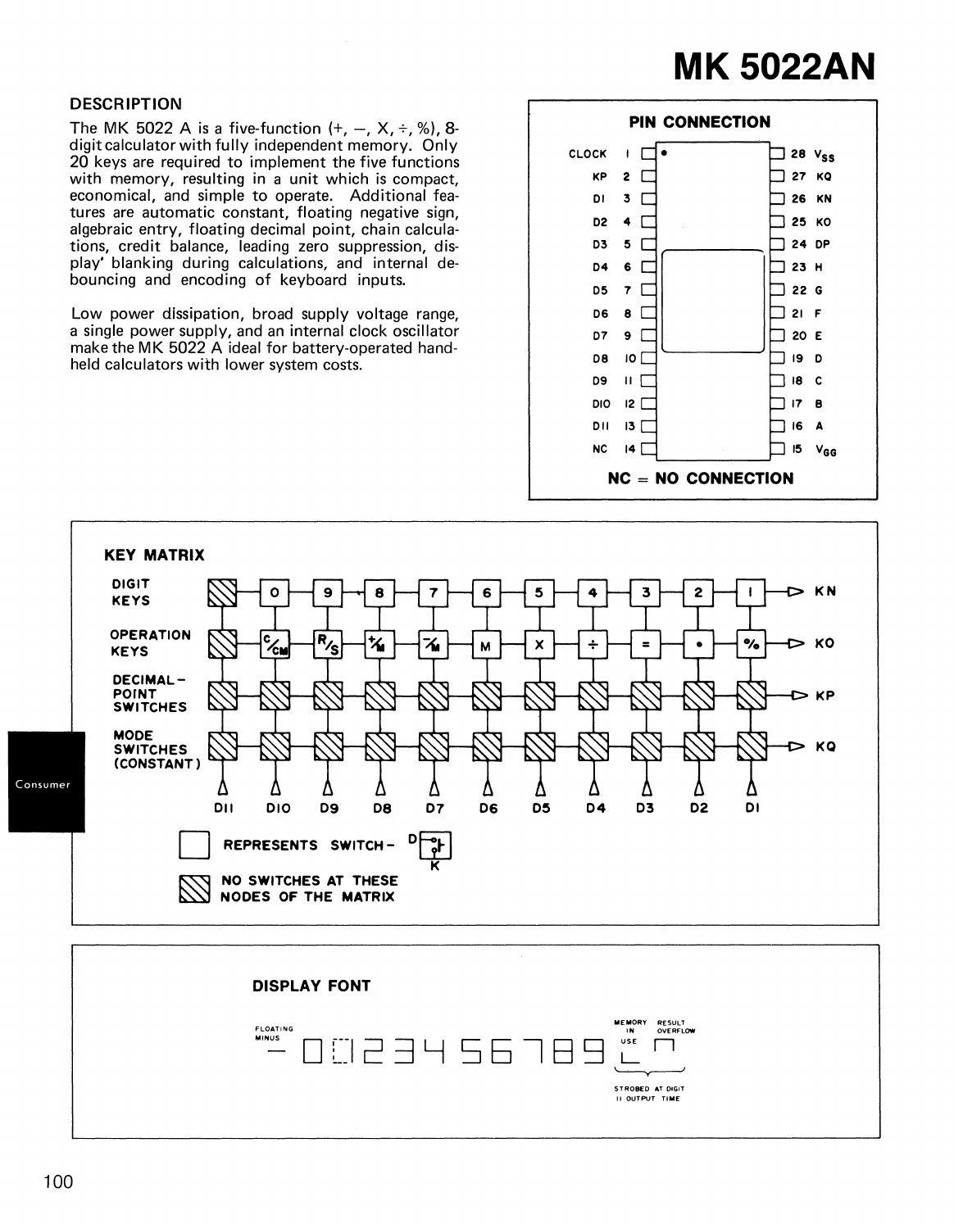## **MK 5022AN**

## DESCRIPTION

The MK 5022 A is a five-function  $(+, -, X, \div, \%)$ , 8digit calculator with fully independent memory. Only 20 keys are required to implement the five functions with memory, resulting in a unit which is compact, economical, and simple to operate. Additional features are automatic constant, floating negative sign, algebraic entry, floating decimal point, chain calculations, credit balance, leading zero suppression, display' blanking during calculations, and internal debouncing and encoding of keyboard inputs.

Low power dissipation, broad supply voltage range, a single power supply, and an internal clock oscillator make the MK 5022 A ideal for battery-operated handheld calculators with lower system costs.



STROBED AT DIGIT II OUTPUT TIME